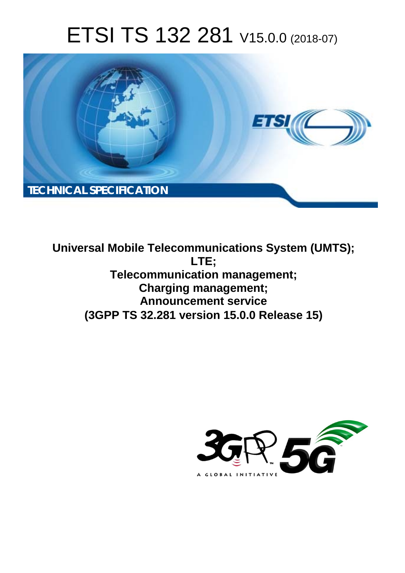# ETSI TS 132 281 V15.0.0 (2018-07)



**Universal Mobile Telecommunications System (UMTS); LTE; Telecommunication management; Charging management; Announcement service (3GPP TS 32.281 version 15.0.0 Release 15)** 

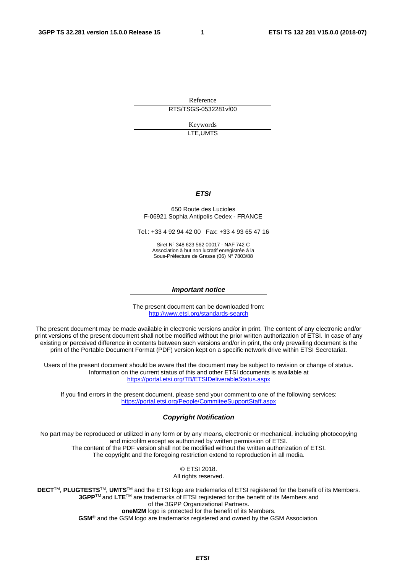Reference RTS/TSGS-0532281vf00

> Keywords LTE,UMTS

#### *ETSI*

#### 650 Route des Lucioles F-06921 Sophia Antipolis Cedex - FRANCE

Tel.: +33 4 92 94 42 00 Fax: +33 4 93 65 47 16

Siret N° 348 623 562 00017 - NAF 742 C Association à but non lucratif enregistrée à la Sous-Préfecture de Grasse (06) N° 7803/88

#### *Important notice*

The present document can be downloaded from: <http://www.etsi.org/standards-search>

The present document may be made available in electronic versions and/or in print. The content of any electronic and/or print versions of the present document shall not be modified without the prior written authorization of ETSI. In case of any existing or perceived difference in contents between such versions and/or in print, the only prevailing document is the print of the Portable Document Format (PDF) version kept on a specific network drive within ETSI Secretariat.

Users of the present document should be aware that the document may be subject to revision or change of status. Information on the current status of this and other ETSI documents is available at <https://portal.etsi.org/TB/ETSIDeliverableStatus.aspx>

If you find errors in the present document, please send your comment to one of the following services: <https://portal.etsi.org/People/CommiteeSupportStaff.aspx>

#### *Copyright Notification*

No part may be reproduced or utilized in any form or by any means, electronic or mechanical, including photocopying and microfilm except as authorized by written permission of ETSI. The content of the PDF version shall not be modified without the written authorization of ETSI. The copyright and the foregoing restriction extend to reproduction in all media.

> © ETSI 2018. All rights reserved.

**DECT**TM, **PLUGTESTS**TM, **UMTS**TM and the ETSI logo are trademarks of ETSI registered for the benefit of its Members. **3GPP**TM and **LTE**TM are trademarks of ETSI registered for the benefit of its Members and of the 3GPP Organizational Partners. **oneM2M** logo is protected for the benefit of its Members.

**GSM**® and the GSM logo are trademarks registered and owned by the GSM Association.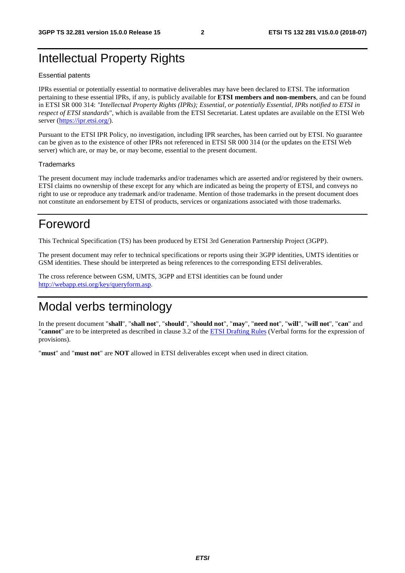### Intellectual Property Rights

#### Essential patents

IPRs essential or potentially essential to normative deliverables may have been declared to ETSI. The information pertaining to these essential IPRs, if any, is publicly available for **ETSI members and non-members**, and can be found in ETSI SR 000 314: *"Intellectual Property Rights (IPRs); Essential, or potentially Essential, IPRs notified to ETSI in respect of ETSI standards"*, which is available from the ETSI Secretariat. Latest updates are available on the ETSI Web server ([https://ipr.etsi.org/\)](https://ipr.etsi.org/).

Pursuant to the ETSI IPR Policy, no investigation, including IPR searches, has been carried out by ETSI. No guarantee can be given as to the existence of other IPRs not referenced in ETSI SR 000 314 (or the updates on the ETSI Web server) which are, or may be, or may become, essential to the present document.

#### **Trademarks**

The present document may include trademarks and/or tradenames which are asserted and/or registered by their owners. ETSI claims no ownership of these except for any which are indicated as being the property of ETSI, and conveys no right to use or reproduce any trademark and/or tradename. Mention of those trademarks in the present document does not constitute an endorsement by ETSI of products, services or organizations associated with those trademarks.

### Foreword

This Technical Specification (TS) has been produced by ETSI 3rd Generation Partnership Project (3GPP).

The present document may refer to technical specifications or reports using their 3GPP identities, UMTS identities or GSM identities. These should be interpreted as being references to the corresponding ETSI deliverables.

The cross reference between GSM, UMTS, 3GPP and ETSI identities can be found under [http://webapp.etsi.org/key/queryform.asp.](http://webapp.etsi.org/key/queryform.asp)

### Modal verbs terminology

In the present document "**shall**", "**shall not**", "**should**", "**should not**", "**may**", "**need not**", "**will**", "**will not**", "**can**" and "**cannot**" are to be interpreted as described in clause 3.2 of the [ETSI Drafting Rules](https://portal.etsi.org/Services/editHelp!/Howtostart/ETSIDraftingRules.aspx) (Verbal forms for the expression of provisions).

"**must**" and "**must not**" are **NOT** allowed in ETSI deliverables except when used in direct citation.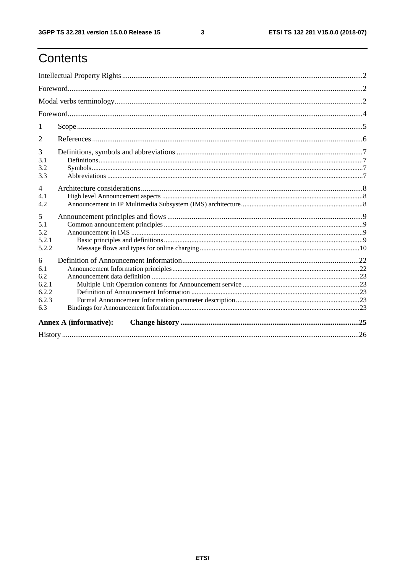## Contents

| -1                                                |  |    |  |  |  |
|---------------------------------------------------|--|----|--|--|--|
| 2                                                 |  |    |  |  |  |
| 3<br>3.1<br>3.2<br>3.3                            |  |    |  |  |  |
| $\overline{4}$<br>41<br>4.2                       |  |    |  |  |  |
| 5<br>5.1<br>5.2<br>5.2.1<br>5.2.2                 |  |    |  |  |  |
| 6<br>6.1<br>6.2<br>6.2.1<br>6.2.2<br>6.2.3<br>6.3 |  |    |  |  |  |
| <b>Annex A (informative):</b>                     |  |    |  |  |  |
| History                                           |  | 26 |  |  |  |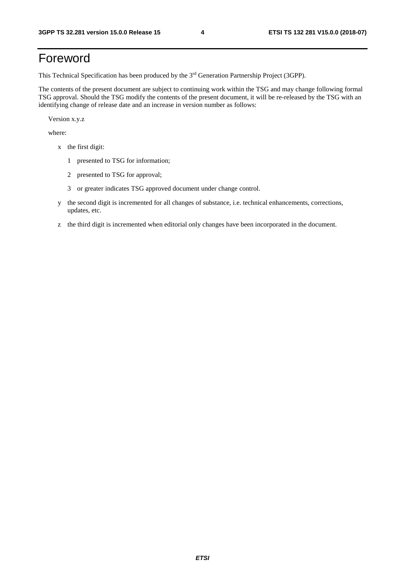### Foreword

This Technical Specification has been produced by the 3rd Generation Partnership Project (3GPP).

The contents of the present document are subject to continuing work within the TSG and may change following formal TSG approval. Should the TSG modify the contents of the present document, it will be re-released by the TSG with an identifying change of release date and an increase in version number as follows:

Version x.y.z

where:

- x the first digit:
	- 1 presented to TSG for information;
	- 2 presented to TSG for approval;
	- 3 or greater indicates TSG approved document under change control.
- y the second digit is incremented for all changes of substance, i.e. technical enhancements, corrections, updates, etc.
- z the third digit is incremented when editorial only changes have been incorporated in the document.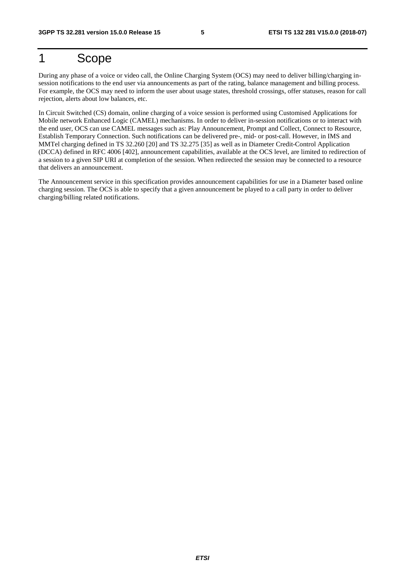### 1 Scope

During any phase of a voice or video call, the Online Charging System (OCS) may need to deliver billing/charging insession notifications to the end user via announcements as part of the rating, balance management and billing process. For example, the OCS may need to inform the user about usage states, threshold crossings, offer statuses, reason for call rejection, alerts about low balances, etc.

In Circuit Switched (CS) domain, online charging of a voice session is performed using Customised Applications for Mobile network Enhanced Logic (CAMEL) mechanisms. In order to deliver in-session notifications or to interact with the end user, OCS can use CAMEL messages such as: Play Announcement, Prompt and Collect, Connect to Resource, Establish Temporary Connection. Such notifications can be delivered pre-, mid- or post-call. However, in IMS and MMTel charging defined in TS 32.260 [20] and TS 32.275 [35] as well as in Diameter Credit-Control Application (DCCA) defined in RFC 4006 [402], announcement capabilities, available at the OCS level, are limited to redirection of a session to a given SIP URI at completion of the session. When redirected the session may be connected to a resource that delivers an announcement.

The Announcement service in this specification provides announcement capabilities for use in a Diameter based online charging session. The OCS is able to specify that a given announcement be played to a call party in order to deliver charging/billing related notifications.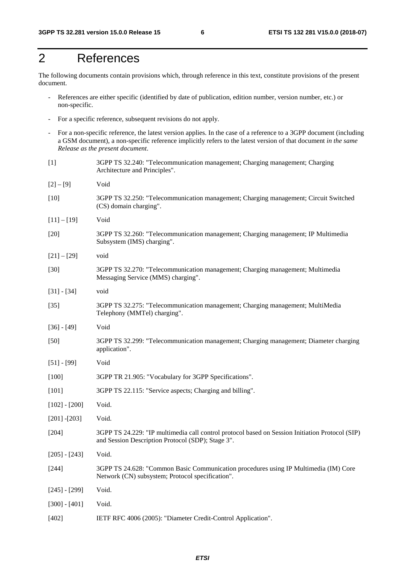### 2 References

The following documents contain provisions which, through reference in this text, constitute provisions of the present document.

- References are either specific (identified by date of publication, edition number, version number, etc.) or non-specific.
- For a specific reference, subsequent revisions do not apply.
- For a non-specific reference, the latest version applies. In the case of a reference to a 3GPP document (including a GSM document), a non-specific reference implicitly refers to the latest version of that document *in the same Release as the present document*.
- [1] 3GPP TS 32.240: "Telecommunication management; Charging management; Charging Architecture and Principles".  $[2] - [9]$  Void [10] 3GPP TS 32.250: "Telecommunication management; Charging management; Circuit Switched (CS) domain charging". [11] – [19] Void [20] 3GPP TS 32.260: "Telecommunication management; Charging management; IP Multimedia Subsystem (IMS) charging".  $[21] - [29]$  void [30] 3GPP TS 32.270: "Telecommunication management; Charging management; Multimedia Messaging Service (MMS) charging". [31] - [34] void [35] 3GPP TS 32.275: "Telecommunication management; Charging management; MultiMedia Telephony (MMTel) charging". [36] - [49] Void [50] 3GPP TS 32.299: "Telecommunication management; Charging management; Diameter charging application". [51] - [99] Void [100] 3GPP TR 21.905: "Vocabulary for 3GPP Specifications". [101] 3GPP TS 22.115: "Service aspects; Charging and billing". [102] - [200] Void. [201] -[203] Void. [204] 3GPP TS 24.229: "IP multimedia call control protocol based on Session Initiation Protocol (SIP) and Session Description Protocol (SDP); Stage 3". [205] - [243] Void. [244] 3GPP TS 24.628: "Common Basic Communication procedures using IP Multimedia (IM) Core Network (CN) subsystem; Protocol specification". [245] - [299] Void. [300] - [401] Void.
- [402] IETF RFC 4006 (2005): "Diameter Credit-Control Application".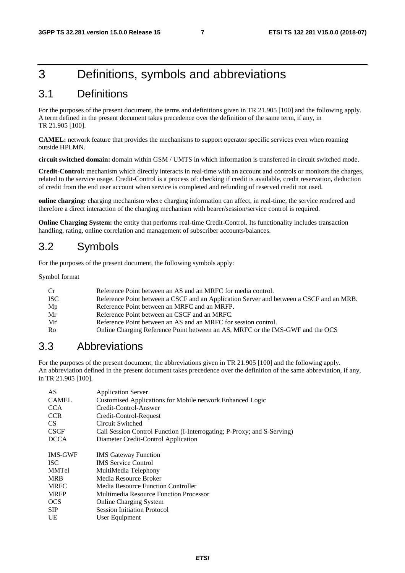### 3 Definitions, symbols and abbreviations

### 3.1 Definitions

For the purposes of the present document, the terms and definitions given in TR 21.905 [100] and the following apply. A term defined in the present document takes precedence over the definition of the same term, if any, in TR 21.905 [100].

**CAMEL:** network feature that provides the mechanisms to support operator specific services even when roaming outside HPLMN.

**circuit switched domain:** domain within GSM / UMTS in which information is transferred in circuit switched mode.

**Credit-Control:** mechanism which directly interacts in real-time with an account and controls or monitors the charges, related to the service usage. Credit-Control is a process of: checking if credit is available, credit reservation, deduction of credit from the end user account when service is completed and refunding of reserved credit not used.

**online charging:** charging mechanism where charging information can affect, in real-time, the service rendered and therefore a direct interaction of the charging mechanism with bearer/session/service control is required.

**Online Charging System:** the entity that performs real-time Credit-Control. Its functionality includes transaction handling, rating, online correlation and management of subscriber accounts/balances.

### 3.2 Symbols

For the purposes of the present document, the following symbols apply:

Symbol format

| Cr  | Reference Point between an AS and an MRFC for media control.                            |
|-----|-----------------------------------------------------------------------------------------|
| ISC | Reference Point between a CSCF and an Application Server and between a CSCF and an MRB. |
| Mp  | Reference Point between an MRFC and an MRFP.                                            |
| Mr  | Reference Point between an CSCF and an MRFC.                                            |
| Mr' | Reference Point between an AS and an MRFC for session control.                          |
| Ro  | Online Charging Reference Point between an AS, MRFC or the IMS-GWF and the OCS          |
|     |                                                                                         |

### 3.3 Abbreviations

For the purposes of the present document, the abbreviations given in TR 21.905 [100] and the following apply. An abbreviation defined in the present document takes precedence over the definition of the same abbreviation, if any, in TR 21.905 [100].

| AS             | <b>Application Server</b>                                               |
|----------------|-------------------------------------------------------------------------|
| <b>CAMEL</b>   | Customised Applications for Mobile network Enhanced Logic               |
| <b>CCA</b>     | Credit-Control-Answer                                                   |
| <b>CCR</b>     | Credit-Control-Request                                                  |
| CS.            | Circuit Switched                                                        |
| <b>CSCF</b>    | Call Session Control Function (I-Interrogating; P-Proxy; and S-Serving) |
| <b>DCCA</b>    | Diameter Credit-Control Application                                     |
| <b>IMS-GWF</b> | <b>IMS</b> Gateway Function                                             |
| <b>ISC</b>     | <b>IMS</b> Service Control                                              |
| <b>MMTel</b>   | MultiMedia Telephony                                                    |
| <b>MRB</b>     | Media Resource Broker                                                   |
| <b>MRFC</b>    | Media Resource Function Controller                                      |
| <b>MRFP</b>    | Multimedia Resource Function Processor                                  |
| <b>OCS</b>     | Online Charging System                                                  |
| <b>SIP</b>     | <b>Session Initiation Protocol</b>                                      |
| <b>UE</b>      | User Equipment                                                          |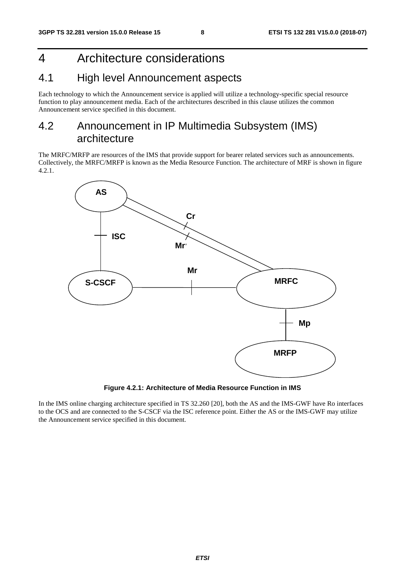### 4 Architecture considerations

### 4.1 High level Announcement aspects

Each technology to which the Announcement service is applied will utilize a technology-specific special resource function to play announcement media. Each of the architectures described in this clause utilizes the common Announcement service specified in this document.

### 4.2 Announcement in IP Multimedia Subsystem (IMS) architecture

The MRFC/MRFP are resources of the IMS that provide support for bearer related services such as announcements. Collectively, the MRFC/MRFP is known as the Media Resource Function. The architecture of MRF is shown in figure 4.2.1.



**Figure 4.2.1: Architecture of Media Resource Function in IMS** 

In the IMS online charging architecture specified in TS 32.260 [20], both the AS and the IMS-GWF have Ro interfaces to the OCS and are connected to the S-CSCF via the ISC reference point. Either the AS or the IMS-GWF may utilize the Announcement service specified in this document.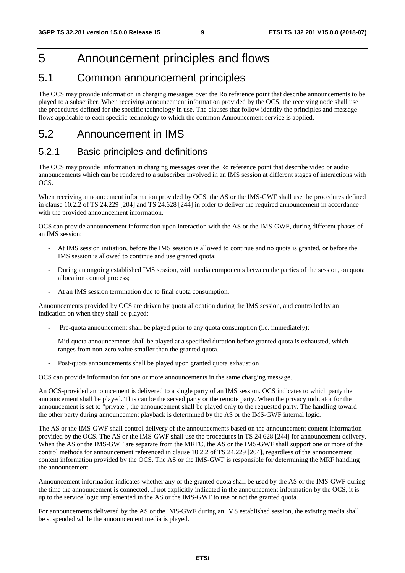### 5 Announcement principles and flows

### 5.1 Common announcement principles

The OCS may provide information in charging messages over the Ro reference point that describe announcements to be played to a subscriber. When receiving announcement information provided by the OCS, the receiving node shall use the procedures defined for the specific technology in use. The clauses that follow identify the principles and message flows applicable to each specific technology to which the common Announcement service is applied.

### 5.2 Announcement in IMS

### 5.2.1 Basic principles and definitions

The OCS may provide information in charging messages over the Ro reference point that describe video or audio announcements which can be rendered to a subscriber involved in an IMS session at different stages of interactions with OCS.

When receiving announcement information provided by OCS, the AS or the IMS-GWF shall use the procedures defined in clause 10.2.2 of TS 24.229 [204] and TS 24.628 [244] in order to deliver the required announcement in accordance with the provided announcement information.

OCS can provide announcement information upon interaction with the AS or the IMS-GWF, during different phases of an IMS session:

- At IMS session initiation, before the IMS session is allowed to continue and no quota is granted, or before the IMS session is allowed to continue and use granted quota;
- During an ongoing established IMS session, with media components between the parties of the session, on quota allocation control process;
- At an IMS session termination due to final quota consumption.

Announcements provided by OCS are driven by quota allocation during the IMS session, and controlled by an indication on when they shall be played:

- Pre-quota announcement shall be played prior to any quota consumption (i.e. immediately);
- Mid-quota announcements shall be played at a specified duration before granted quota is exhausted, which ranges from non-zero value smaller than the granted quota.
- Post-quota announcements shall be played upon granted quota exhaustion

OCS can provide information for one or more announcements in the same charging message.

An OCS-provided announcement is delivered to a single party of an IMS session. OCS indicates to which party the announcement shall be played. This can be the served party or the remote party. When the privacy indicator for the announcement is set to "private", the announcement shall be played only to the requested party. The handling toward the other party during announcement playback is determined by the AS or the IMS-GWF internal logic.

The AS or the IMS-GWF shall control delivery of the announcements based on the announcement content information provided by the OCS. The AS or the IMS-GWF shall use the procedures in TS 24.628 [244] for announcement delivery. When the AS or the IMS-GWF are separate from the MRFC, the AS or the IMS-GWF shall support one or more of the control methods for announcement referenced in clause 10.2.2 of TS 24.229 [204], regardless of the announcement content information provided by the OCS. The AS or the IMS-GWF is responsible for determining the MRF handling the announcement.

Announcement information indicates whether any of the granted quota shall be used by the AS or the IMS-GWF during the time the announcement is connected. If not explicitly indicated in the announcement information by the OCS, it is up to the service logic implemented in the AS or the IMS-GWF to use or not the granted quota.

For announcements delivered by the AS or the IMS-GWF during an IMS established session, the existing media shall be suspended while the announcement media is played.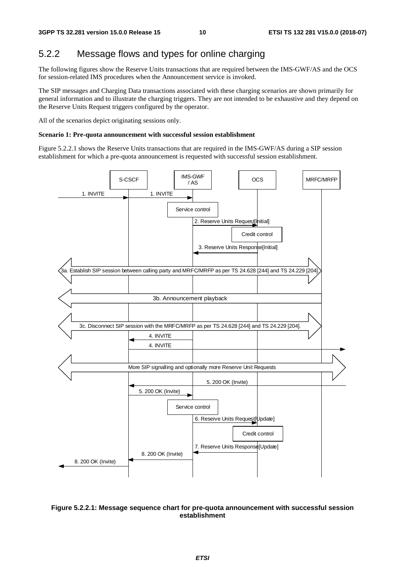### 5.2.2 Message flows and types for online charging

The following figures show the Reserve Units transactions that are required between the IMS-GWF/AS and the OCS for session-related IMS procedures when the Announcement service is invoked.

The SIP messages and Charging Data transactions associated with these charging scenarios are shown primarily for general information and to illustrate the charging triggers. They are not intended to be exhaustive and they depend on the Reserve Units Request triggers configured by the operator.

All of the scenarios depict originating sessions only.

#### **Scenario 1: Pre-quota announcement with successful session establishment**

Figure 5.2.2.1 shows the Reserve Units transactions that are required in the IMS-GWF/AS during a SIP session establishment for which a pre-quota announcement is requested with successful session establishment.



#### **Figure 5.2.2.1: Message sequence chart for pre-quota announcement with successful session establishment**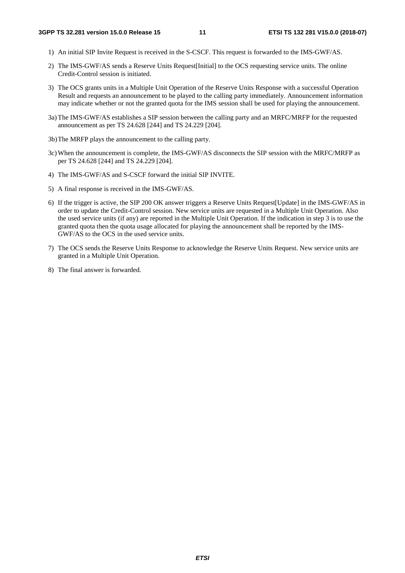- 1) An initial SIP Invite Request is received in the S-CSCF. This request is forwarded to the IMS-GWF/AS.
- 2) The IMS-GWF/AS sends a Reserve Units Request[Initial] to the OCS requesting service units. The online Credit-Control session is initiated.
- 3) The OCS grants units in a Multiple Unit Operation of the Reserve Units Response with a successful Operation Result and requests an announcement to be played to the calling party immediately. Announcement information may indicate whether or not the granted quota for the IMS session shall be used for playing the announcement.
- 3a) The IMS-GWF/AS establishes a SIP session between the calling party and an MRFC/MRFP for the requested announcement as per TS 24.628 [244] and TS 24.229 [204].
- 3b) The MRFP plays the announcement to the calling party.
- 3c) When the announcement is complete, the IMS-GWF/AS disconnects the SIP session with the MRFC/MRFP as per TS 24.628 [244] and TS 24.229 [204].
- 4) The IMS-GWF/AS and S-CSCF forward the initial SIP INVITE.
- 5) A final response is received in the IMS-GWF/AS.
- 6) If the trigger is active, the SIP 200 OK answer triggers a Reserve Units Request[Update] in the IMS-GWF/AS in order to update the Credit-Control session. New service units are requested in a Multiple Unit Operation. Also the used service units (if any) are reported in the Multiple Unit Operation. If the indication in step 3 is to use the granted quota then the quota usage allocated for playing the announcement shall be reported by the IMS-GWF/AS to the OCS in the used service units.
- 7) The OCS sends the Reserve Units Response to acknowledge the Reserve Units Request. New service units are granted in a Multiple Unit Operation.
- 8) The final answer is forwarded.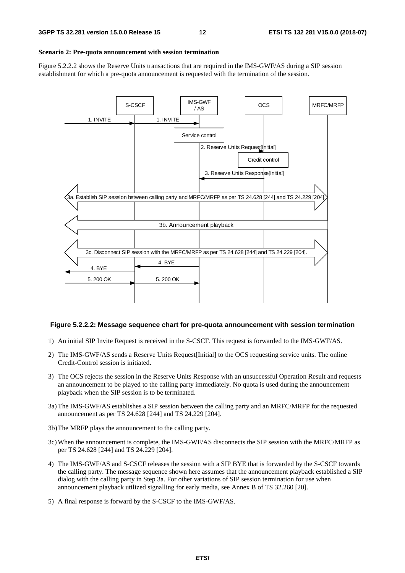#### **Scenario 2: Pre-quota announcement with session termination**

Figure 5.2.2.2 shows the Reserve Units transactions that are required in the IMS-GWF/AS during a SIP session establishment for which a pre-quota announcement is requested with the termination of the session.



#### **Figure 5.2.2.2: Message sequence chart for pre-quota announcement with session termination**

- 1) An initial SIP Invite Request is received in the S-CSCF. This request is forwarded to the IMS-GWF/AS.
- 2) The IMS-GWF/AS sends a Reserve Units Request[Initial] to the OCS requesting service units. The online Credit-Control session is initiated.
- 3) The OCS rejects the session in the Reserve Units Response with an unsuccessful Operation Result and requests an announcement to be played to the calling party immediately. No quota is used during the announcement playback when the SIP session is to be terminated.
- 3a) The IMS-GWF/AS establishes a SIP session between the calling party and an MRFC/MRFP for the requested announcement as per TS 24.628 [244] and TS 24.229 [204].
- 3b) The MRFP plays the announcement to the calling party.
- 3c) When the announcement is complete, the IMS-GWF/AS disconnects the SIP session with the MRFC/MRFP as per TS 24.628 [244] and TS 24.229 [204].
- 4) The IMS-GWF/AS and S-CSCF releases the session with a SIP BYE that is forwarded by the S-CSCF towards the calling party. The message sequence shown here assumes that the announcement playback established a SIP dialog with the calling party in Step 3a. For other variations of SIP session termination for use when announcement playback utilized signalling for early media, see Annex B of TS 32.260 [20].
- 5) A final response is forward by the S-CSCF to the IMS-GWF/AS.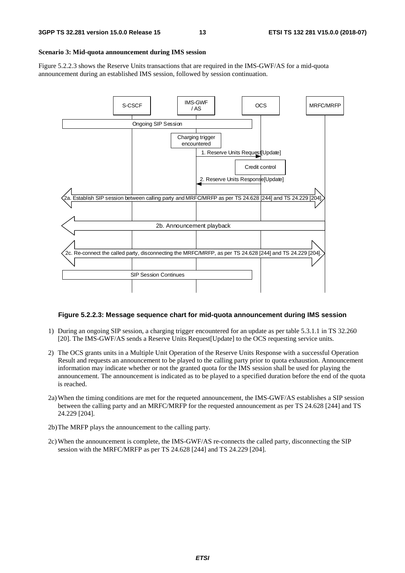#### **Scenario 3: Mid-quota announcement during IMS session**

Figure 5.2.2.3 shows the Reserve Units transactions that are required in the IMS-GWF/AS for a mid-quota announcement during an established IMS session, followed by session continuation.



#### **Figure 5.2.2.3: Message sequence chart for mid-quota announcement during IMS session**

- 1) During an ongoing SIP session, a charging trigger encountered for an update as per table 5.3.1.1 in TS 32.260 [20]. The IMS-GWF/AS sends a Reserve Units Request[Update] to the OCS requesting service units.
- 2) The OCS grants units in a Multiple Unit Operation of the Reserve Units Response with a successful Operation Result and requests an announcement to be played to the calling party prior to quota exhaustion. Announcement information may indicate whether or not the granted quota for the IMS session shall be used for playing the announcement. The announcement is indicated as to be played to a specified duration before the end of the quota is reached.
- 2a) When the timing conditions are met for the requeted announcement, the IMS-GWF/AS establishes a SIP session between the calling party and an MRFC/MRFP for the requested announcement as per TS 24.628 [244] and TS 24.229 [204].
- 2b) The MRFP plays the announcement to the calling party.
- 2c) When the announcement is complete, the IMS-GWF/AS re-connects the called party, disconnecting the SIP session with the MRFC/MRFP as per TS 24.628 [244] and TS 24.229 [204].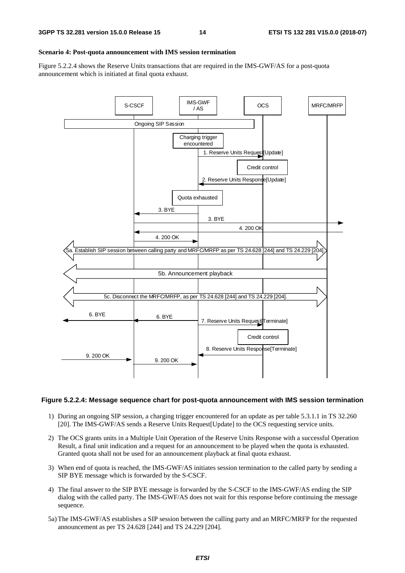#### **Scenario 4: Post-quota announcement with IMS session termination**

Figure 5.2.2.4 shows the Reserve Units transactions that are required in the IMS-GWF/AS for a post-quota announcement which is initiated at final quota exhaust.



#### **Figure 5.2.2.4: Message sequence chart for post-quota announcement with IMS session termination**

- 1) During an ongoing SIP session, a charging trigger encountered for an update as per table 5.3.1.1 in TS 32.260 [20]. The IMS-GWF/AS sends a Reserve Units Request[Update] to the OCS requesting service units.
- 2) The OCS grants units in a Multiple Unit Operation of the Reserve Units Response with a successful Operation Result, a final unit indication and a request for an announcement to be played when the quota is exhausted. Granted quota shall not be used for an announcement playback at final quota exhaust.
- 3) When end of quota is reached, the IMS-GWF/AS initiates session termination to the called party by sending a SIP BYE message which is forwarded by the S-CSCF.
- 4) The final answer to the SIP BYE message is forwarded by the S-CSCF to the IMS-GWF/AS ending the SIP dialog with the called party. The IMS-GWF/AS does not wait for this response before continuing the message sequence.
- 5a) The IMS-GWF/AS establishes a SIP session between the calling party and an MRFC/MRFP for the requested announcement as per TS 24.628 [244] and TS 24.229 [204].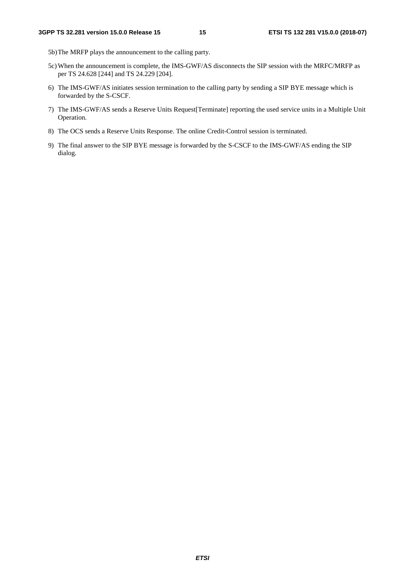- 5b) The MRFP plays the announcement to the calling party.
- 5c) When the announcement is complete, the IMS-GWF/AS disconnects the SIP session with the MRFC/MRFP as per TS 24.628 [244] and TS 24.229 [204].
- 6) The IMS-GWF/AS initiates session termination to the calling party by sending a SIP BYE message which is forwarded by the S-CSCF.
- 7) The IMS-GWF/AS sends a Reserve Units Request[Terminate] reporting the used service units in a Multiple Unit Operation.
- 8) The OCS sends a Reserve Units Response. The online Credit-Control session is terminated.
- 9) The final answer to the SIP BYE message is forwarded by the S-CSCF to the IMS-GWF/AS ending the SIP dialog.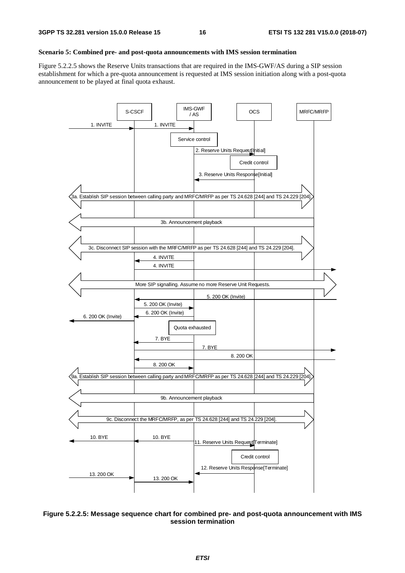#### **Scenario 5: Combined pre- and post-quota announcements with IMS session termination**

Figure 5.2.2.5 shows the Reserve Units transactions that are required in the IMS-GWF/AS during a SIP session establishment for which a pre-quota announcement is requested at IMS session initiation along with a post-quota announcement to be played at final quota exhaust.



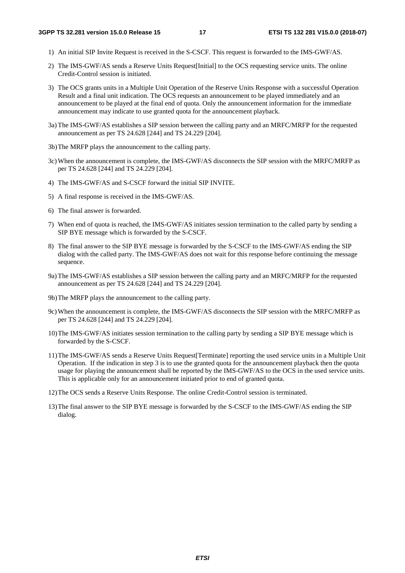- 1) An initial SIP Invite Request is received in the S-CSCF. This request is forwarded to the IMS-GWF/AS.
- 2) The IMS-GWF/AS sends a Reserve Units Request[Initial] to the OCS requesting service units. The online Credit-Control session is initiated.
- 3) The OCS grants units in a Multiple Unit Operation of the Reserve Units Response with a successful Operation Result and a final unit indication. The OCS requests an announcement to be played immediately and an announcement to be played at the final end of quota. Only the announcement information for the immediate announcement may indicate to use granted quota for the announcement playback.
- 3a) The IMS-GWF/AS establishes a SIP session between the calling party and an MRFC/MRFP for the requested announcement as per TS 24.628 [244] and TS 24.229 [204].
- 3b) The MRFP plays the announcement to the calling party.
- 3c) When the announcement is complete, the IMS-GWF/AS disconnects the SIP session with the MRFC/MRFP as per TS 24.628 [244] and TS 24.229 [204].
- 4) The IMS-GWF/AS and S-CSCF forward the initial SIP INVITE.
- 5) A final response is received in the IMS-GWF/AS.
- 6) The final answer is forwarded.
- 7) When end of quota is reached, the IMS-GWF/AS initiates session termination to the called party by sending a SIP BYE message which is forwarded by the S-CSCF.
- 8) The final answer to the SIP BYE message is forwarded by the S-CSCF to the IMS-GWF/AS ending the SIP dialog with the called party. The IMS-GWF/AS does not wait for this response before continuing the message sequence.
- 9a) The IMS-GWF/AS establishes a SIP session between the calling party and an MRFC/MRFP for the requested announcement as per TS 24.628 [244] and TS 24.229 [204].
- 9b) The MRFP plays the announcement to the calling party.
- 9c) When the announcement is complete, the IMS-GWF/AS disconnects the SIP session with the MRFC/MRFP as per TS 24.628 [244] and TS 24.229 [204].
- 10) The IMS-GWF/AS initiates session termination to the calling party by sending a SIP BYE message which is forwarded by the S-CSCF.
- 11) The IMS-GWF/AS sends a Reserve Units Request[Terminate] reporting the used service units in a Multiple Unit Operation. If the indication in step 3 is to use the granted quota for the announcement playback then the quota usage for playing the announcement shall be reported by the IMS-GWF/AS to the OCS in the used service units. This is applicable only for an announcement initiated prior to end of granted quota.
- 12) The OCS sends a Reserve Units Response. The online Credit-Control session is terminated.
- 13) The final answer to the SIP BYE message is forwarded by the S-CSCF to the IMS-GWF/AS ending the SIP dialog.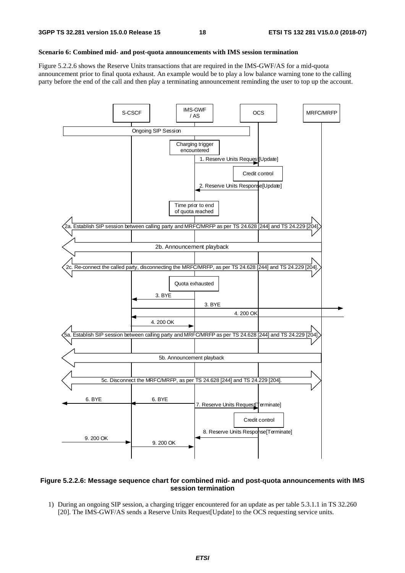#### **Scenario 6: Combined mid- and post-quota announcements with IMS session termination**

Figure 5.2.2.6 shows the Reserve Units transactions that are required in the IMS-GWF/AS for a mid-quota announcement prior to final quota exhaust. An example would be to play a low balance warning tone to the calling party before the end of the call and then play a terminating announcement reminding the user to top up the account.



#### **Figure 5.2.2.6: Message sequence chart for combined mid- and post-quota announcements with IMS session termination**

1) During an ongoing SIP session, a charging trigger encountered for an update as per table 5.3.1.1 in TS 32.260 [20]. The IMS-GWF/AS sends a Reserve Units Request[Update] to the OCS requesting service units.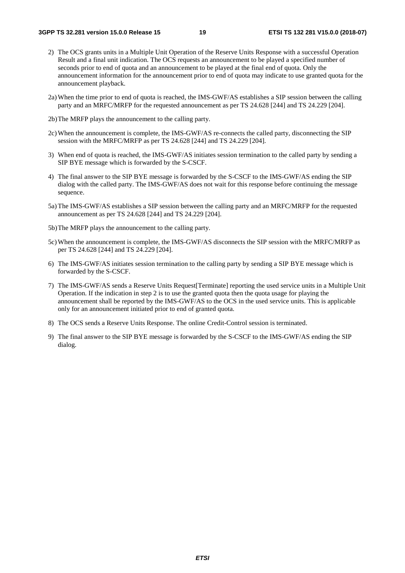- 2) The OCS grants units in a Multiple Unit Operation of the Reserve Units Response with a successful Operation Result and a final unit indication. The OCS requests an announcement to be played a specified number of seconds prior to end of quota and an announcement to be played at the final end of quota. Only the announcement information for the announcement prior to end of quota may indicate to use granted quota for the announcement playback.
- 2a) When the time prior to end of quota is reached, the IMS-GWF/AS establishes a SIP session between the calling party and an MRFC/MRFP for the requested announcement as per TS 24.628 [244] and TS 24.229 [204].
- 2b) The MRFP plays the announcement to the calling party.
- 2c) When the announcement is complete, the IMS-GWF/AS re-connects the called party, disconnecting the SIP session with the MRFC/MRFP as per TS 24.628 [244] and TS 24.229 [204].
- 3) When end of quota is reached, the IMS-GWF/AS initiates session termination to the called party by sending a SIP BYE message which is forwarded by the S-CSCF.
- 4) The final answer to the SIP BYE message is forwarded by the S-CSCF to the IMS-GWF/AS ending the SIP dialog with the called party. The IMS-GWF/AS does not wait for this response before continuing the message sequence.
- 5a) The IMS-GWF/AS establishes a SIP session between the calling party and an MRFC/MRFP for the requested announcement as per TS 24.628 [244] and TS 24.229 [204].
- 5b) The MRFP plays the announcement to the calling party.
- 5c) When the announcement is complete, the IMS-GWF/AS disconnects the SIP session with the MRFC/MRFP as per TS 24.628 [244] and TS 24.229 [204].
- 6) The IMS-GWF/AS initiates session termination to the calling party by sending a SIP BYE message which is forwarded by the S-CSCF.
- 7) The IMS-GWF/AS sends a Reserve Units Request[Terminate] reporting the used service units in a Multiple Unit Operation. If the indication in step 2 is to use the granted quota then the quota usage for playing the announcement shall be reported by the IMS-GWF/AS to the OCS in the used service units. This is applicable only for an announcement initiated prior to end of granted quota.
- 8) The OCS sends a Reserve Units Response. The online Credit-Control session is terminated.
- 9) The final answer to the SIP BYE message is forwarded by the S-CSCF to the IMS-GWF/AS ending the SIP dialog.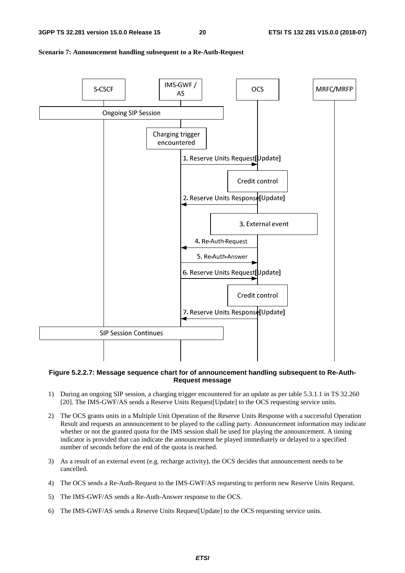

#### **Scenario 7: Announcement handling subsequent to a Re-Auth-Request**

#### **Figure 5.2.2.7: Message sequence chart for of announcement handling subsequent to Re-Auth-Request message**

- 1) During an ongoing SIP session, a charging trigger encountered for an update as per table 5.3.1.1 in TS 32.260 [20]. The IMS-GWF/AS sends a Reserve Units Request[Update] to the OCS requesting service units.
- 2) The OCS grants units in a Multiple Unit Operation of the Reserve Units Response with a successful Operation Result and requests an announcement to be played to the calling party. Announcement information may indicate whether or not the granted quota for the IMS session shall be used for playing the announcement. A timing indicator is provided that can indicate the announcement be played immediately or delayed to a specified number of seconds before the end of the quota is reached.
- 3) As a result of an external event (e.g. recharge activity), the OCS decides that announcement needs to be cancelled.
- 4) The OCS sends a Re-Auth-Request to the IMS-GWF/AS requesting to perform new Reserve Units Request.
- 5) The IMS-GWF/AS sends a Re-Auth-Answer response to the OCS.
- 6) The IMS-GWF/AS sends a Reserve Units Request[Update] to the OCS requesting service units.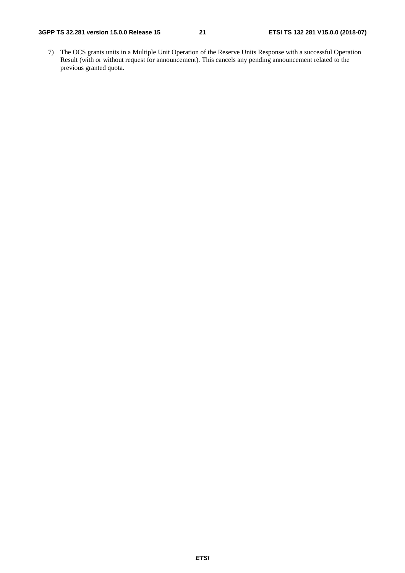7) The OCS grants units in a Multiple Unit Operation of the Reserve Units Response with a successful Operation Result (with or without request for announcement). This cancels any pending announcement related to the previous granted quota.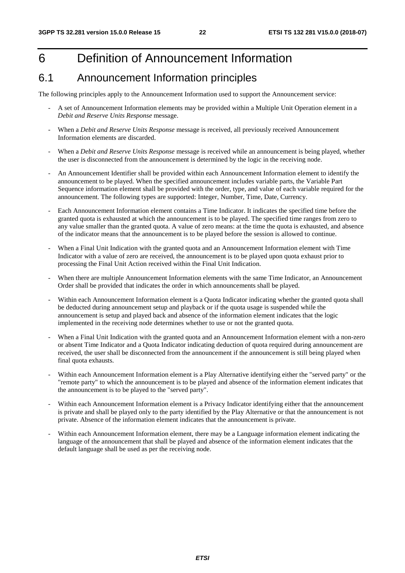### 6 Definition of Announcement Information

### 6.1 Announcement Information principles

The following principles apply to the Announcement Information used to support the Announcement service:

- A set of Announcement Information elements may be provided within a Multiple Unit Operation element in a *Debit and Reserve Units Response* message.
- When a *Debit and Reserve Units Response* message is received, all previously received Announcement Information elements are discarded.
- When a *Debit and Reserve Units Response* message is received while an announcement is being played, whether the user is disconnected from the announcement is determined by the logic in the receiving node.
- An Announcement Identifier shall be provided within each Announcement Information element to identify the announcement to be played. When the specified announcement includes variable parts, the Variable Part Sequence information element shall be provided with the order, type, and value of each variable required for the announcement. The following types are supported: Integer, Number, Time, Date, Currency.
- Each Announcement Information element contains a Time Indicator. It indicates the specified time before the granted quota is exhausted at which the announcement is to be played. The specified time ranges from zero to any value smaller than the granted quota. A value of zero means: at the time the quota is exhausted, and absence of the indicator means that the announcement is to be played before the session is allowed to continue.
- When a Final Unit Indication with the granted quota and an Announcement Information element with Time Indicator with a value of zero are received, the announcement is to be played upon quota exhaust prior to processing the Final Unit Action received within the Final Unit Indication.
- When there are multiple Announcement Information elements with the same Time Indicator, an Announcement Order shall be provided that indicates the order in which announcements shall be played.
- Within each Announcement Information element is a Quota Indicator indicating whether the granted quota shall be deducted during announcement setup and playback or if the quota usage is suspended while the announcement is setup and played back and absence of the information element indicates that the logic implemented in the receiving node determines whether to use or not the granted quota.
- When a Final Unit Indication with the granted quota and an Announcement Information element with a non-zero or absent Time Indicator and a Quota Indicator indicating deduction of quota required during announcement are received, the user shall be disconnected from the announcement if the announcement is still being played when final quota exhausts.
- Within each Announcement Information element is a Play Alternative identifying either the "served party" or the "remote party" to which the announcement is to be played and absence of the information element indicates that the announcement is to be played to the "served party".
- Within each Announcement Information element is a Privacy Indicator identifying either that the announcement is private and shall be played only to the party identified by the Play Alternative or that the announcement is not private. Absence of the information element indicates that the announcement is private.
- Within each Announcement Information element, there may be a Language information element indicating the language of the announcement that shall be played and absence of the information element indicates that the default language shall be used as per the receiving node.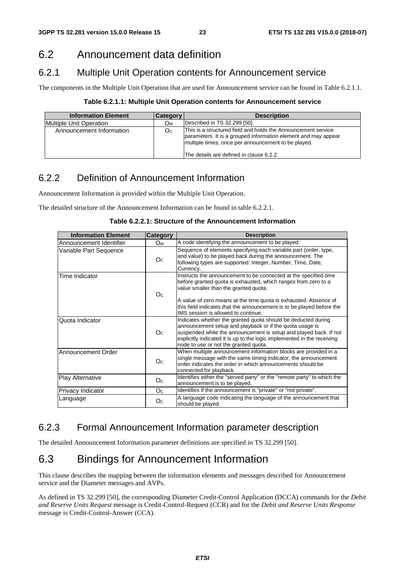### 6.2 Announcement data definition

### 6.2.1 Multiple Unit Operation contents for Announcement service

The components in the Multiple Unit Operation that are used for Announcement service can be found in Table 6.2.1.1.

**Table 6.2.1.1: Multiple Unit Operation contents for Announcement service** 

| <b>Information Element</b> | <b>Category</b> | <b>Description</b>                                                                                                                                                                                                                  |
|----------------------------|-----------------|-------------------------------------------------------------------------------------------------------------------------------------------------------------------------------------------------------------------------------------|
| Multiple Unit Operation    | Ом              | Described in TS 32.299 [50].                                                                                                                                                                                                        |
| Announcement Information   | O <sub>C</sub>  | This is a structured field and holds the Announcement service<br>parameters. It is a grouped information element and may appear<br>multiple times, once per announcement to be played.<br>lThe details are defined in clause 6.2.2. |

### 6.2.2 Definition of Announcement Information

Announcement Information is provided within the Multiple Unit Operation.

The detailed structure of the Announcement Information can be found in table 6.2.2.1.

| Table 6.2.2.1: Structure of the Announcement Information |  |
|----------------------------------------------------------|--|
|----------------------------------------------------------|--|

| <b>Information Element</b> | Category       | <b>Description</b>                                                                                                                                                                                                                                                                                                 |
|----------------------------|----------------|--------------------------------------------------------------------------------------------------------------------------------------------------------------------------------------------------------------------------------------------------------------------------------------------------------------------|
| lAnnouncement Identifier   | Oм             | A code identifying the announcement to be played.                                                                                                                                                                                                                                                                  |
| Variable Part Sequence     | O <sub>C</sub> | Sequence of elements specifying each variable part (order, type,<br>and value) to be played back during the announcement. The<br>following types are supported: Integer, Number, Time, Date,<br>Currency.                                                                                                          |
| Time Indicator             | O <sub>C</sub> | Instructs the announcement to be connected at the specified time<br>before granted quota is exhausted, which ranges from zero to a<br>value smaller than the granted quota.                                                                                                                                        |
|                            |                | A value of zero means at the time quota is exhausted. Absence of<br>this field indicates that the announcement is to be played before the<br>IMS session is allowed to continue.                                                                                                                                   |
| Quota Indicator            | O <sub>C</sub> | Indicates whether the granted quota should be deducted during<br>announcement setup and playback or if the quota usage is<br>suspended while the announcement is setup and played back. If not<br>explicitly indicated it is up to the logic implemented in the receiving<br>node to use or not the granted quota. |
| Announcement Order         | O <sub>C</sub> | When multiple announcement information blocks are provided in a<br>single message with the same timing indicator, the announcement<br>order indicates the order in which announcements should be<br>connected for playback.                                                                                        |
| <b>Play Alternative</b>    | O <sub>C</sub> | Identifies either the "served party" or the "remote party" to which the<br>announcement is to be played.                                                                                                                                                                                                           |
| Privacy Indicator          | Oc.            | Identifies if the announcement is "private" or "not private".                                                                                                                                                                                                                                                      |
| Language                   | O <sub>C</sub> | A language code indicating the language of the announcement that<br>should be played.                                                                                                                                                                                                                              |

### 6.2.3 Formal Announcement Information parameter description

The detailed Announcement Information parameter definitions are specified in TS 32.299 [50].

### 6.3 Bindings for Announcement Information

This clause describes the mapping between the information elements and messages described for Announcement service and the Diameter messages and AVPs.

As defined in TS 32.299 [50], the corresponding Diameter Credit-Control Application (DCCA) commands for the *Debit and Reserve Units Request* message is Credit-Control-Request (CCR) and for the *Debit and Reserve Units Response* message is Credit-Control-Answer (CCA).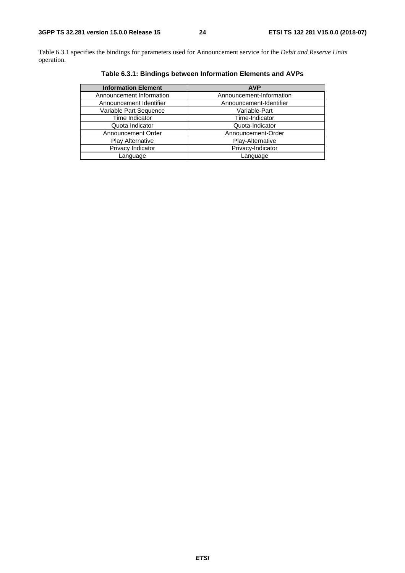Table 6.3.1 specifies the bindings for parameters used for Announcement service for the *Debit and Reserve Units* operation.

| <b>Information Element</b> | <b>AVP</b>               |
|----------------------------|--------------------------|
| Announcement Information   | Announcement-Information |
| Announcement Identifier    | Announcement-Identifier  |
| Variable Part Sequence     | Variable-Part            |
| Time Indicator             | Time-Indicator           |
| Quota Indicator            | Quota-Indicator          |
| Announcement Order         | Announcement-Order       |
| <b>Play Alternative</b>    | Play-Alternative         |
| Privacy Indicator          | Privacy-Indicator        |
| Language                   | Language                 |

**Table 6.3.1: Bindings between Information Elements and AVPs**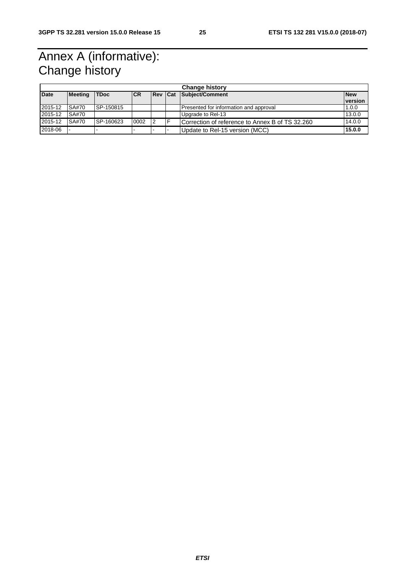### Annex A (informative): Change history

| <b>Change history</b> |                |             |            |             |  |                                                 |            |
|-----------------------|----------------|-------------|------------|-------------|--|-------------------------------------------------|------------|
| <b>Date</b>           | <b>Meeting</b> | <b>TDoc</b> | <b>ICR</b> | <b>IRev</b> |  | Cat Subject/Comment                             | <b>New</b> |
|                       |                |             |            |             |  |                                                 | version    |
| 2015-12               | SA#70          | ISP-150815  |            |             |  | Presented for information and approval          | 1.0.0      |
| 2015-12               | SA#70          |             |            |             |  | Upgrade to Rel-13                               | 13.0.0     |
| 2015-12               | SA#70          | SP-160623   | 0002       | 2           |  | Correction of reference to Annex B of TS 32.260 | 14.0.0     |
| 2018-06               |                |             |            |             |  | Update to Rel-15 version (MCC)                  | 15.0.0     |